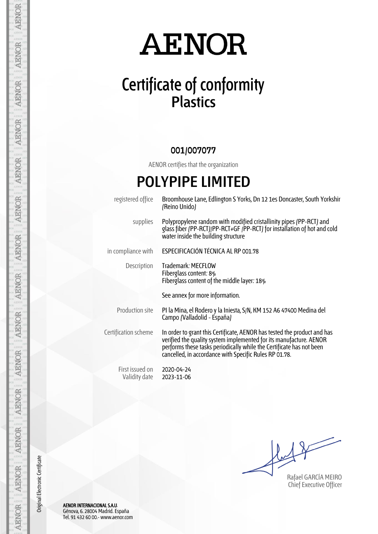## **AENOR**

### **Certificate of conformity Plastics**

#### **001/007077**

AENOR certifies that the organization

### **POLYPIPE LIMITED**

registered office Broomhouse Lane, Edlington S Yorks, Dn 12 1es Doncaster, South Yorkshir (Reino Unido) supplies Polypropylene random with modified cristallinity pipes (PP-RCT) and glass fiber (PP-RCT)/PP-RCT+GF /PP-RCT) for installation of hot and cold water inside the building structure in compliance with **ESPECIFICACIÓN TÉCNICA AL RP 001.78** Description Trademark: MECFLOW Fiberglass content: 8% Fiberglass content of the middle layer: 18% See annex for more information. Production site PI la Mina, el Rodero y la Iniesta, S/N, KM 152 A6 47400 Medina del Campo (Valladolid - España) Certification scheme In order to grant this Certificate, AENOR has tested the product and has verified the quality system implemented for its manufacture. AENOR performs these tasks periodically while the Certificate has not been cancelled, in accordance with Specific Rules RP 01.78. First issued on Validity date 2020-04-24 2023-11-06

Rafael GARCÍA MEIRO Chief Executive Officer

AENOR INTERNACIONAL S.A.U. Génova, 6. 28004 Madrid. España Tel. 91 432 60 00.- www.aenor.com

Original Electronic Certificate

Original Electronic Certificate